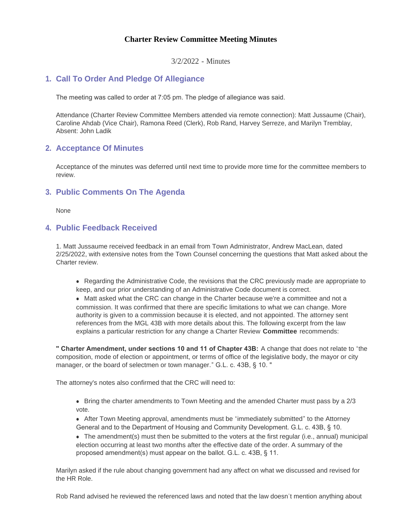### **Charter Review Committee Meeting Minutes**

3/2/2022 - Minutes

# **Call To Order And Pledge Of Allegiance 1.**

The meeting was called to order at 7:05 pm. The pledge of allegiance was said.

Attendance (Charter Review Committee Members attended via remote connection): Matt Jussaume (Chair), Caroline Ahdab (Vice Chair), Ramona Reed (Clerk), Rob Rand, Harvey Serreze, and Marilyn Tremblay, Absent: John Ladik

### **Acceptance Of Minutes 2.**

Acceptance of the minutes was deferred until next time to provide more time for the committee members to review.

# **Public Comments On The Agenda 3.**

None

## **Public Feedback Received 4.**

1. Matt Jussaume received feedback in an email from Town Administrator, Andrew MacLean, dated 2/25/2022, with extensive notes from the Town Counsel concerning the questions that Matt asked about the Charter review.

• Regarding the Administrative Code, the revisions that the CRC previously made are appropriate to keep, and our prior understanding of an Administrative Code document is correct.

• Matt asked what the CRC can change in the Charter because we're a committee and not a commission. It was confirmed that there are specific limitations to what we can change. More authority is given to a commission because it is elected, and not appointed. The attorney sent references from the MGL 43B with more details about this. The following excerpt from the law explains a particular restriction for any change a Charter Review **Committee** recommends:

**" Charter Amendment, under sections 10 and 11 of Chapter 43B:** A change that does not relate to "the composition, mode of election or appointment, or terms of office of the legislative body, the mayor or city manager, or the board of selectmen or town manager." G.L. c. 43B, § 10. "

The attorney's notes also confirmed that the CRC will need to:

- $\bullet$  Bring the charter amendments to Town Meeting and the amended Charter must pass by a 2/3 vote.
- After Town Meeting approval, amendments must be "immediately submitted" to the Attorney General and to the Department of Housing and Community Development. G.L. c. 43B, § 10.

 $\bullet$  The amendment(s) must then be submitted to the voters at the first regular (i.e., annual) municipal election occurring at least two months after the effective date of the order. A summary of the proposed amendment(s) must appear on the ballot. G.L. c. 43B, § 11.

Marilyn asked if the rule about changing government had any affect on what we discussed and revised for the HR Role.

Rob Rand advised he reviewed the referenced laws and noted that the law doesn't mention anything about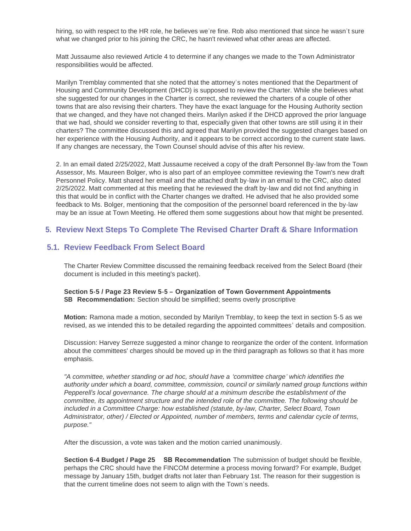hiring, so with respect to the HR role, he believes we're fine. Rob also mentioned that since he wasn't sure what we changed prior to his joining the CRC, he hasn't reviewed what other areas are affected.

Matt Jussaume also reviewed Article 4 to determine if any changes we made to the Town Administrator responsibilities would be affected.

Marilyn Tremblay commented that she noted that the attorney's notes mentioned that the Department of Housing and Community Development (DHCD) is supposed to review the Charter. While she believes what she suggested for our changes in the Charter is correct, she reviewed the charters of a couple of other towns that are also revising their charters. They have the exact language for the Housing Authority section that we changed, and they have not changed theirs. Marilyn asked if the DHCD approved the prior language that we had, should we consider reverting to that, especially given that other towns are still using it in their charters? The committee discussed this and agreed that Marilyn provided the suggested changes based on her experience with the Housing Authority, and it appears to be correct according to the current state laws. If any changes are necessary, the Town Counsel should advise of this after his review.

2. In an email dated 2/25/2022, Matt Jussaume received a copy of the draft Personnel By-law from the Town Assessor, Ms. Maureen Bolger, who is also part of an employee committee reviewing the Town's new draft Personnel Policy. Matt shared her email and the attached draft by-law in an email to the CRC, also dated 2/25/2022. Matt commented at this meeting that he reviewed the draft by-law and did not find anything in this that would be in conflict with the Charter changes we drafted. He advised that he also provided some feedback to Ms. Bolger, mentioning that the composition of the personnel board referenced in the by-law may be an issue at Town Meeting. He offered them some suggestions about how that might be presented.

# **Review Next Steps To Complete The Revised Charter Draft & Share Information 5.**

## **Review Feedback From Select Board 5.1.**

The Charter Review Committee discussed the remaining feedback received from the Select Board (their document is included in this meeting's packet).

**Section 5-5 / Page 23 Review 5-5 – Organization of Town Government Appointments SB Recommendation:** Section should be simplified; seems overly proscriptive

**Motion:** Ramona made a motion, seconded by Marilyn Tremblay, to keep the text in section 5-5 as we revised, as we intended this to be detailed regarding the appointed committees' details and composition.

Discussion: Harvey Serreze suggested a minor change to reorganize the order of the content. Information about the committees' charges should be moved up in the third paragraph as follows so that it has more emphasis.

*"A committee, whether standing or ad hoc, should have a 'committee charge' which identifies the authority under which a board, committee, commission, council or similarly named group functions within Pepperell's local governance. The charge should at a minimum describe the establishment of the committee, its appointment structure and the intended role of the committee. The following should be included in a Committee Charge: how established (statute, by-law, Charter, Select Board, Town Administrator, other) / Elected or Appointed, number of members, terms and calendar cycle of terms, purpose."*

After the discussion, a vote was taken and the motion carried unanimously.

**Section 6-4 Budget / Page 25 SB Recommendation** The submission of budget should be flexible, perhaps the CRC should have the FINCOM determine a process moving forward? For example, Budget message by January 15th, budget drafts not later than February 1st. The reason for their suggestion is that the current timeline does not seem to align with the Town's needs.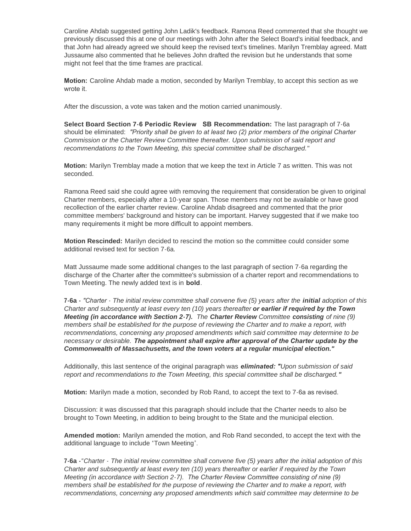Caroline Ahdab suggested getting John Ladik's feedback. Ramona Reed commented that she thought we previously discussed this at one of our meetings with John after the Select Board's initial feedback, and that John had already agreed we should keep the revised text's timelines. Marilyn Tremblay agreed. Matt Jussaume also commented that he believes John drafted the revision but he understands that some might not feel that the time frames are practical.

**Motion:** Caroline Ahdab made a motion, seconded by Marilyn Tremblay, to accept this section as we wrote it.

After the discussion, a vote was taken and the motion carried unanimously.

**Select Board Section 7-6 Periodic Review SB Recommendation:** The last paragraph of 7-6a should be eliminated: *"Priority shall be given to at least two (2) prior members of the original Charter Commission or the Charter Review Committee thereafter. Upon submission of said report and recommendations to the Town Meeting, this special committee shall be discharged."*

**Motion:** Marilyn Tremblay made a motion that we keep the text in Article 7 as written. This was not seconded.

Ramona Reed said she could agree with removing the requirement that consideration be given to original Charter members, especially after a 10-year span. Those members may not be available or have good recollection of the earlier charter review. Caroline Ahdab disagreed and commented that the prior committee members' background and history can be important. Harvey suggested that if we make too many requirements it might be more difficult to appoint members.

**Motion Rescinded:** Marilyn decided to rescind the motion so the committee could consider some additional revised text for section 7-6a.

Matt Jussaume made some additional changes to the last paragraph of section 7-6a regarding the discharge of the Charter after the committee's submission of a charter report and recommendations to Town Meeting. The newly added text is in **bold**.

**7-6a -** *"Charter - The initial review committee shall convene five (5) years after the initial adoption of this Charter and subsequently at least every ten (10) years thereafter or earlier if required by the Town Meeting (in accordance with Section 2-7). The Charter Review Committee consisting of nine (9) members shall be established for the purpose of reviewing the Charter and to make a report, with recommendations, concerning any proposed amendments which said committee may determine to be necessary or desirable. The appointment shall expire after approval of the Charter update by the Commonwealth of Massachusetts, and the town voters at a regular municipal election."*

Additionally, this last sentence of the original paragraph was *eliminated: "Upon submission of said report and recommendations to the Town Meeting, this special committee shall be discharged."*

**Motion:** Marilyn made a motion, seconded by Rob Rand, to accept the text to 7-6a as revised.

Discussion: it was discussed that this paragraph should include that the Charter needs to also be brought to Town Meeting, in addition to being brought to the State and the municipal election.

**Amended motion:** Marilyn amended the motion, and Rob Rand seconded, to accept the text with the additional language to include "Town Meeting".

**7-6a -***"Charter - The initial review committee shall convene five (5) years after the initial adoption of this Charter and subsequently at least every ten (10) years thereafter or earlier if required by the Town Meeting (in accordance with Section 2-7). The Charter Review Committee consisting of nine (9) members shall be established for the purpose of reviewing the Charter and to make a report, with*  recommendations, concerning any proposed amendments which said committee may determine to be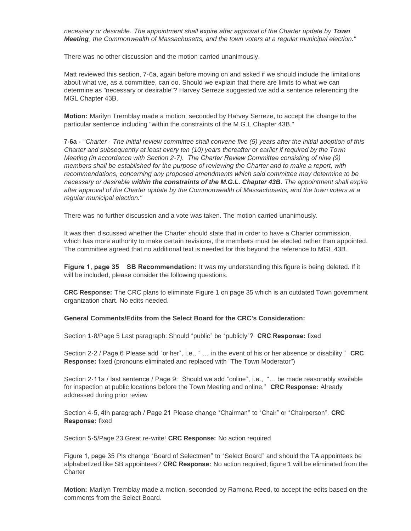*necessary or desirable. The appointment shall expire after approval of the Charter update by Town Meeting, the Commonwealth of Massachusetts, and the town voters at a regular municipal election."*

There was no other discussion and the motion carried unanimously.

Matt reviewed this section, 7-6a, again before moving on and asked if we should include the limitations about what we, as a committee, can do. Should we explain that there are limits to what we can determine as "necessary or desirable"? Harvey Serreze suggested we add a sentence referencing the MGL Chapter 43B.

**Motion:** Marilyn Tremblay made a motion, seconded by Harvey Serreze, to accept the change to the particular sentence including "within the constraints of the M.G.L Chapter 43B."

**7-6a -** *"Charter - The initial review committee shall convene five (5) years after the initial adoption of this Charter and subsequently at least every ten (10) years thereafter or earlier if required by the Town Meeting (in accordance with Section 2-7). The Charter Review Committee consisting of nine (9) members shall be established for the purpose of reviewing the Charter and to make a report, with*  recommendations, concerning any proposed amendments which said committee may determine to be *necessary or desirable within the constraints of the M.G.L. Chapter 43B. The appointment shall expire after approval of the Charter update by the Commonwealth of Massachusetts, and the town voters at a regular municipal election."*

There was no further discussion and a vote was taken. The motion carried unanimously.

It was then discussed whether the Charter should state that in order to have a Charter commission, which has more authority to make certain revisions, the members must be elected rather than appointed. The committee agreed that no additional text is needed for this beyond the reference to MGL 43B.

**Figure 1, page 35 SB Recommendation:** It was my understanding this figure is being deleted. If it will be included, please consider the following questions.

**CRC Response:** The CRC plans to eliminate Figure 1 on page 35 which is an outdated Town government organization chart. No edits needed.

**General Comments/Edits from the Select Board for the CRC's Consideration:**

Section 1-8/Page 5 Last paragraph: Should "public" be "publicly"? **CRC Response:** fixed

Section 2-2 / Page 6 Please add "or her", i.e., " … in the event of his or her absence or disability." **CRC Response:** fixed (pronouns eliminated and replaced with "The Town Moderator")

Section 2-11a / last sentence / Page 9: Should we add "online", i.e., "... be made reasonably available for inspection at public locations before the Town Meeting and online." **CRC Response:** Already addressed during prior review

Section 4-5, 4th paragraph / Page 21 Please change "Chairman" to "Chair" or "Chairperson". **CRC Response:** fixed

Section 5-5/Page 23 Great re-write! **CRC Response:** No action required

Figure 1, page 35 Pls change "Board of Selectmen" to "Select Board" and should the TA appointees be alphabetized like SB appointees? **CRC Response:** No action required; figure 1 will be eliminated from the **Charter** 

**Motion:** Marilyn Tremblay made a motion, seconded by Ramona Reed, to accept the edits based on the comments from the Select Board.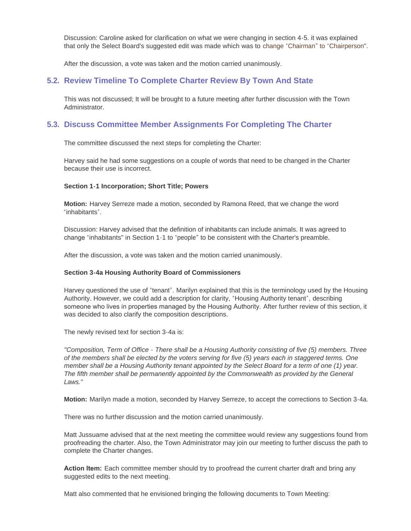Discussion: Caroline asked for clarification on what we were changing in section 4-5. it was explained that only the Select Board's suggested edit was made which was to change "Chairman" to "Chairperson".

After the discussion, a vote was taken and the motion carried unanimously.

#### **Review Timeline To Complete Charter Review By Town And State 5.2.**

This was not discussed; It will be brought to a future meeting after further discussion with the Town Administrator.

## **Discuss Committee Member Assignments For Completing The Charter 5.3.**

The committee discussed the next steps for completing the Charter:

Harvey said he had some suggestions on a couple of words that need to be changed in the Charter because their use is incorrect.

#### **Section 1-1 Incorporation; Short Title; Powers**

**Motion:** Harvey Serreze made a motion, seconded by Ramona Reed, that we change the word "inhabitants".

Discussion: Harvey advised that the definition of inhabitants can include animals. It was agreed to change "inhabitants" in Section 1-1 to "people" to be consistent with the Charter's preamble.

After the discussion, a vote was taken and the motion carried unanimously.

#### **Section 3-4a Housing Authority Board of Commissioners**

Harvey questioned the use of "tenant". Marilyn explained that this is the terminology used by the Housing Authority. However, we could add a description for clarity, "Housing Authority tenant", describing someone who lives in properties managed by the Housing Authority. After further review of this section, it was decided to also clarify the composition descriptions.

The newly revised text for section 3-4a is:

*"Composition, Term of Office - There shall be a Housing Authority consisting of five (5) members. Three of the members shall be elected by the voters serving for five (5) years each in staggered terms. One member shall be a Housing Authority tenant appointed by the Select Board for a term of one (1) year. The fifth member shall be permanently appointed by the Commonwealth as provided by the General Laws."*

**Motion:** Marilyn made a motion, seconded by Harvey Serreze, to accept the corrections to Section 3-4a.

There was no further discussion and the motion carried unanimously.

Matt Jussuame advised that at the next meeting the committee would review any suggestions found from proofreading the charter. Also, the Town Administrator may join our meeting to further discuss the path to complete the Charter changes.

**Action Item:** Each committee member should try to proofread the current charter draft and bring any suggested edits to the next meeting.

Matt also commented that he envisioned bringing the following documents to Town Meeting: